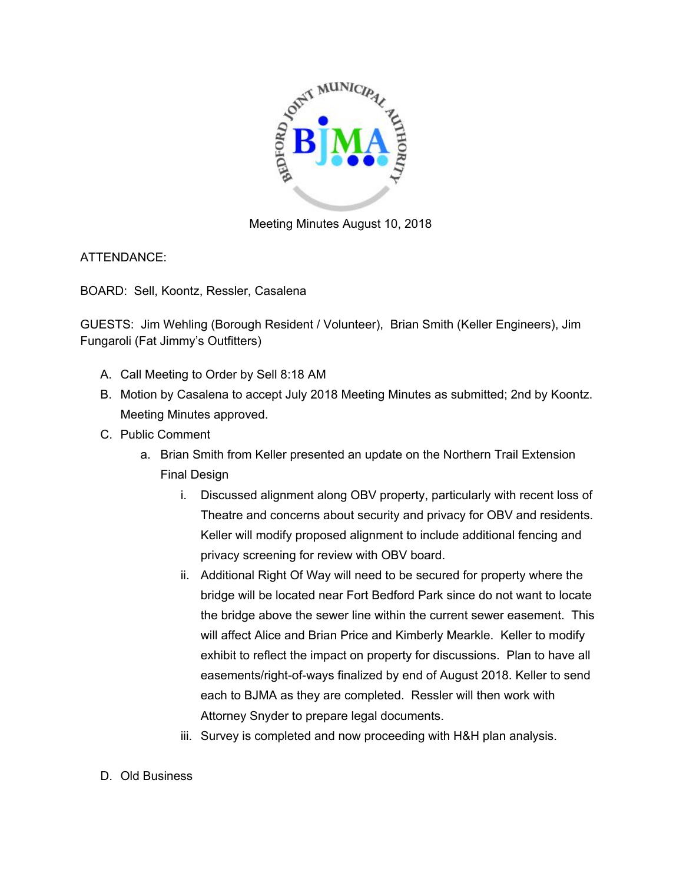

Meeting Minutes August 10, 2018

ATTENDANCE:

BOARD: Sell, Koontz, Ressler, Casalena

GUESTS: Jim Wehling (Borough Resident / Volunteer), Brian Smith (Keller Engineers), Jim Fungaroli (Fat Jimmy's Outfitters)

- A. Call Meeting to Order by Sell 8:18 AM
- B. Motion by Casalena to accept July 2018 Meeting Minutes as submitted; 2nd by Koontz. Meeting Minutes approved.
- C. Public Comment
	- a. Brian Smith from Keller presented an update on the Northern Trail Extension Final Design
		- i. Discussed alignment along OBV property, particularly with recent loss of Theatre and concerns about security and privacy for OBV and residents. Keller will modify proposed alignment to include additional fencing and privacy screening for review with OBV board.
		- ii. Additional Right Of Way will need to be secured for property where the bridge will be located near Fort Bedford Park since do not want to locate the bridge above the sewer line within the current sewer easement. This will affect Alice and Brian Price and Kimberly Mearkle. Keller to modify exhibit to reflect the impact on property for discussions. Plan to have all easements/right-of-ways finalized by end of August 2018. Keller to send each to BJMA as they are completed. Ressler will then work with Attorney Snyder to prepare legal documents.
		- iii. Survey is completed and now proceeding with H&H plan analysis.
- D. Old Business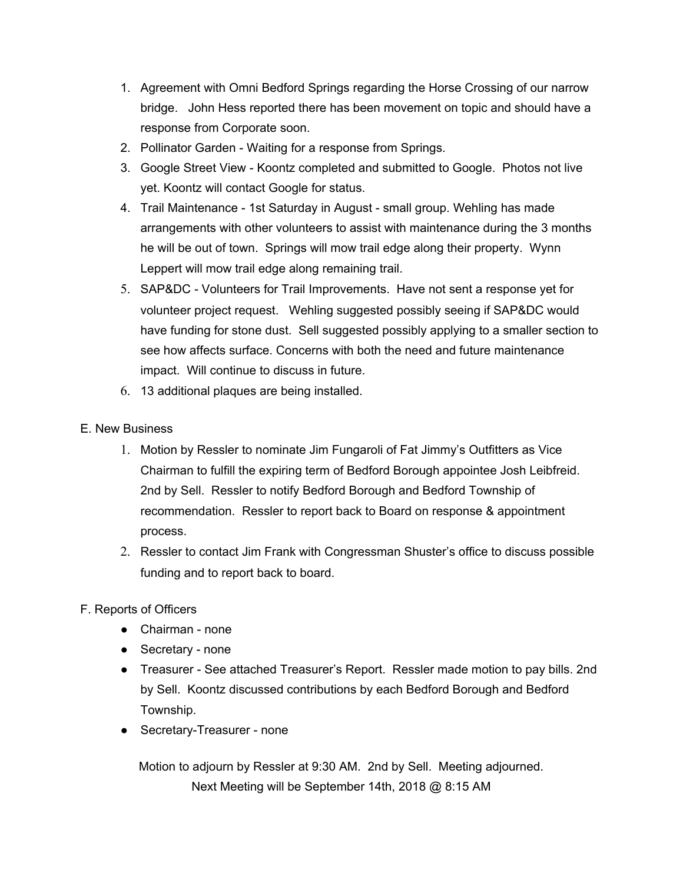- 1. Agreement with Omni Bedford Springs regarding the Horse Crossing of our narrow bridge. John Hess reported there has been movement on topic and should have a response from Corporate soon.
- 2. Pollinator Garden Waiting for a response from Springs.
- 3. Google Street View Koontz completed and submitted to Google. Photos not live yet. Koontz will contact Google for status.
- 4. Trail Maintenance 1st Saturday in August small group. Wehling has made arrangements with other volunteers to assist with maintenance during the 3 months he will be out of town. Springs will mow trail edge along their property. Wynn Leppert will mow trail edge along remaining trail.
- 5. SAP&DC Volunteers for Trail Improvements. Have not sent a response yet for volunteer project request. Wehling suggested possibly seeing if SAP&DC would have funding for stone dust. Sell suggested possibly applying to a smaller section to see how affects surface. Concerns with both the need and future maintenance impact. Will continue to discuss in future.
- 6. 13 additional plaques are being installed.

## E. New Business

- 1. Motion by Ressler to nominate Jim Fungaroli of Fat Jimmy's Outfitters as Vice Chairman to fulfill the expiring term of Bedford Borough appointee Josh Leibfreid. 2nd by Sell. Ressler to notify Bedford Borough and Bedford Township of recommendation. Ressler to report back to Board on response & appointment process.
- 2. Ressler to contact Jim Frank with Congressman Shuster's office to discuss possible funding and to report back to board.
- F. Reports of Officers
	- Chairman none
	- Secretary none
	- Treasurer See attached Treasurer's Report. Ressler made motion to pay bills. 2nd by Sell. Koontz discussed contributions by each Bedford Borough and Bedford Township.
	- Secretary-Treasurer none

Motion to adjourn by Ressler at 9:30 AM. 2nd by Sell. Meeting adjourned. Next Meeting will be September 14th, 2018 @ 8:15 AM